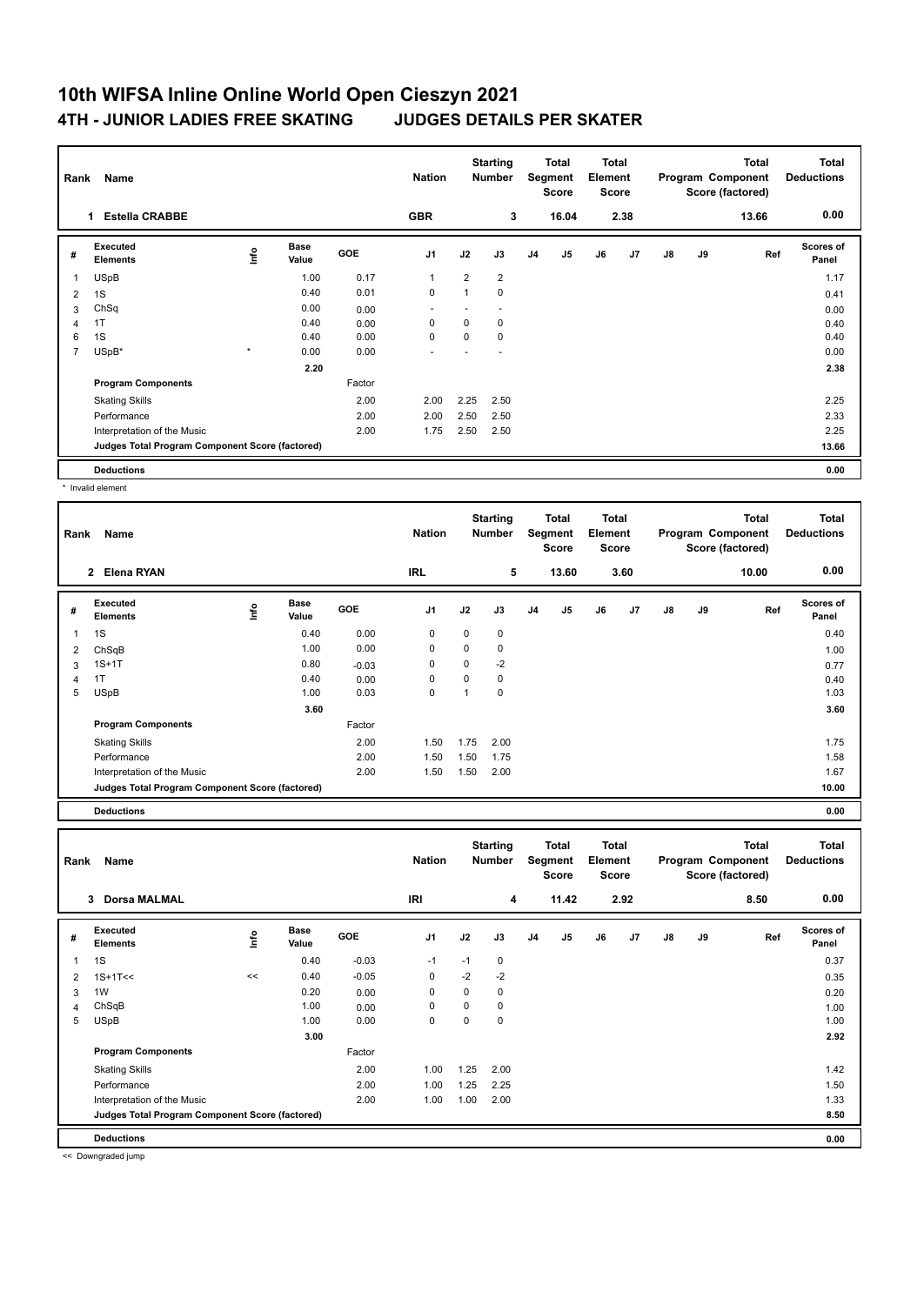## **10th WIFSA Inline Online World Open Cieszyn 2021 4TH - JUNIOR LADIES FREE SKATING JUDGES DETAILS PER SKATER**

| Rank           | Name                                            |         |                      |            | <b>Starting</b><br><b>Nation</b><br><b>Number</b> |                | Total<br>Segment<br><b>Score</b> |                |                | <b>Total</b><br>Element<br><b>Score</b> |      | <b>Total</b><br>Program Component<br>Score (factored) |    | <b>Total</b><br><b>Deductions</b> |                    |
|----------------|-------------------------------------------------|---------|----------------------|------------|---------------------------------------------------|----------------|----------------------------------|----------------|----------------|-----------------------------------------|------|-------------------------------------------------------|----|-----------------------------------|--------------------|
|                | <b>Estella CRABBE</b><br>1.                     |         |                      |            | <b>GBR</b>                                        |                | 3                                |                | 16.04          |                                         | 2.38 |                                                       |    | 13.66                             | 0.00               |
| #              | Executed<br><b>Elements</b>                     | ١nf٥    | <b>Base</b><br>Value | <b>GOE</b> | J <sub>1</sub>                                    | J2             | J3                               | J <sub>4</sub> | J <sub>5</sub> | J6                                      | J7   | J8                                                    | J9 | Ref                               | Scores of<br>Panel |
| 1              | <b>USpB</b>                                     |         | 1.00                 | 0.17       | $\overline{1}$                                    | $\overline{2}$ | $\overline{2}$                   |                |                |                                         |      |                                                       |    |                                   | 1.17               |
| 2              | 1S                                              |         | 0.40                 | 0.01       | 0                                                 | 1              | 0                                |                |                |                                         |      |                                                       |    |                                   | 0.41               |
| 3              | ChSq                                            |         | 0.00                 | 0.00       |                                                   |                |                                  |                |                |                                         |      |                                                       |    |                                   | 0.00               |
| $\overline{4}$ | 1T                                              |         | 0.40                 | 0.00       | 0                                                 | 0              | 0                                |                |                |                                         |      |                                                       |    |                                   | 0.40               |
| 6              | 1S                                              |         | 0.40                 | 0.00       | 0                                                 | 0              | 0                                |                |                |                                         |      |                                                       |    |                                   | 0.40               |
| $\overline{7}$ | USpB*                                           | $\star$ | 0.00                 | 0.00       |                                                   |                |                                  |                |                |                                         |      |                                                       |    |                                   | 0.00               |
|                |                                                 |         | 2.20                 |            |                                                   |                |                                  |                |                |                                         |      |                                                       |    |                                   | 2.38               |
|                | <b>Program Components</b>                       |         |                      | Factor     |                                                   |                |                                  |                |                |                                         |      |                                                       |    |                                   |                    |
|                | <b>Skating Skills</b>                           |         |                      | 2.00       | 2.00                                              | 2.25           | 2.50                             |                |                |                                         |      |                                                       |    |                                   | 2.25               |
|                | Performance                                     |         |                      | 2.00       | 2.00                                              | 2.50           | 2.50                             |                |                |                                         |      |                                                       |    |                                   | 2.33               |
|                | Interpretation of the Music                     |         |                      | 2.00       | 1.75                                              | 2.50           | 2.50                             |                |                |                                         |      |                                                       |    |                                   | 2.25               |
|                | Judges Total Program Component Score (factored) |         |                      |            |                                                   |                |                                  |                |                |                                         |      |                                                       |    |                                   | 13.66              |
|                | <b>Deductions</b>                               |         |                      |            |                                                   |                |                                  |                |                |                                         |      |                                                       |    |                                   | 0.00               |

\* Invalid element

| Rank | Name                                            |    |                      |            |                |          | <b>Starting</b><br>Total<br>Segment<br><b>Number</b><br><b>Score</b> |    |       | Total<br>Element<br><b>Score</b> |      |               |    | Total<br>Program Component<br>Score (factored) | <b>Total</b><br><b>Deductions</b> |
|------|-------------------------------------------------|----|----------------------|------------|----------------|----------|----------------------------------------------------------------------|----|-------|----------------------------------|------|---------------|----|------------------------------------------------|-----------------------------------|
|      | $\overline{2}$<br>Elena RYAN                    |    |                      |            | IRL            |          | 5                                                                    |    | 13.60 |                                  | 3.60 |               |    | 10.00                                          | 0.00                              |
| #    | Executed<br><b>Elements</b>                     | ۴ů | <b>Base</b><br>Value | <b>GOE</b> | J <sub>1</sub> | J2       | J3                                                                   | J4 | J5    | J6                               | J7   | $\mathsf{J}8$ | J9 | Ref                                            | Scores of<br>Panel                |
|      | 1S                                              |    | 0.40                 | 0.00       | 0              | 0        | 0                                                                    |    |       |                                  |      |               |    |                                                | 0.40                              |
| 2    | ChSqB                                           |    | 1.00                 | 0.00       | $\mathbf 0$    | 0        | 0                                                                    |    |       |                                  |      |               |    |                                                | 1.00                              |
| 3    | $1S+1T$                                         |    | 0.80                 | $-0.03$    | 0              | $\Omega$ | $-2$                                                                 |    |       |                                  |      |               |    |                                                | 0.77                              |
| 4    | 1T                                              |    | 0.40                 | 0.00       | 0              | 0        | 0                                                                    |    |       |                                  |      |               |    |                                                | 0.40                              |
| 5    | <b>USpB</b>                                     |    | 1.00                 | 0.03       | 0              |          | 0                                                                    |    |       |                                  |      |               |    |                                                | 1.03                              |
|      |                                                 |    | 3.60                 |            |                |          |                                                                      |    |       |                                  |      |               |    |                                                | 3.60                              |
|      | <b>Program Components</b>                       |    |                      | Factor     |                |          |                                                                      |    |       |                                  |      |               |    |                                                |                                   |
|      | <b>Skating Skills</b>                           |    |                      | 2.00       | 1.50           | 1.75     | 2.00                                                                 |    |       |                                  |      |               |    |                                                | 1.75                              |
|      | Performance                                     |    |                      | 2.00       | 1.50           | 1.50     | 1.75                                                                 |    |       |                                  |      |               |    |                                                | 1.58                              |
|      | Interpretation of the Music                     |    |                      | 2.00       | 1.50           | 1.50     | 2.00                                                                 |    |       |                                  |      |               |    |                                                | 1.67                              |
|      | Judges Total Program Component Score (factored) |    |                      |            |                |          |                                                                      |    |       |                                  |      |               |    |                                                | 10.00                             |
|      | <b>Deductions</b>                               |    |                      |            |                |          |                                                                      |    |       |                                  |      |               |    |                                                | 0.00                              |

**Total Deductions Total Program Component Score (factored) Total Element Score Total Segment Score Starting Rank Name Nation Number # Executed Elements Base Value GOE J1 J2 J3 J4 J5 J6 J7 J8 J9 Scores of Panel** 1 0.40 -0.03 -1 -1 0 **Ref**  سماء المسابقة المسابقة المسابقة المسابقة المسابقة المسابقة المسابقة المسابقة المسابقة المسابقة المسابقة المسابق<br>1S 19 19 19 19 10.03 -1 -1 0<br>1S 0.37 19 10 10.03 -1 -1 0  **3 Dorsa MALMAL IRI 4 11.42 2.92 8.50 0.00** 2 1S+1T<< << 0.40 -0.05 0 -2 -2 0.35 3 1W 0.20 0.00 0 0 0 0.20 4 ChSqB 1.00 0.00 0 0 0 1.00 5 USpB 1.00 0.00 0 0 0 1.00  **3.00 2.92 Program Components**  Skating Skills 1.00 1.25 2.00 Factor 2.00 1.42 Performance 2.00 1.00 1.25 2.25 1.50 Interpretation of the Music 2.00 1.00 1.00 2.00 1.00 2.00 1.33 **Deductions 0.00 Judges Total Program Component Score (factored) 8.50**

<< Downgraded jump